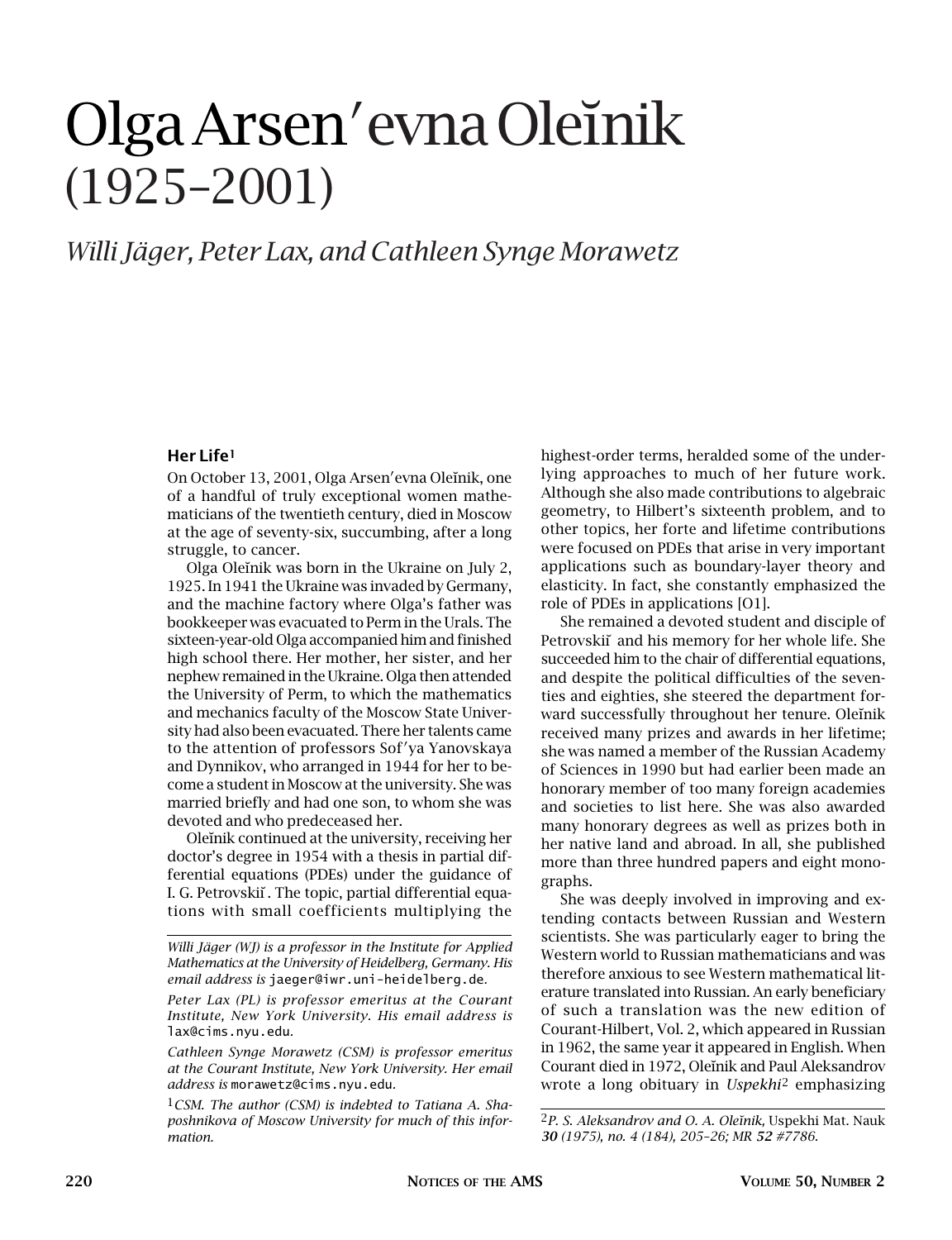# Olga Arsen<sup>'</sup> evna Oleïnik (1925–2001)

# *Willi Jäger, Peter Lax, and Cathleen Synge Morawetz*

# **Her Life1**

On October 13, 2001, Olga Arsen'evna Oleĭnik, one of a handful of truly exceptional women mathematicians of the twentieth century, died in Moscow at the age of seventy-six, succumbing, after a long struggle, to cancer.

Olga Oleinik was born in the Ukraine on July 2, 1925. In 1941 the Ukraine was invaded by Germany, and the machine factory where Olga's father was bookkeeper was evacuated to Perm in the Urals. The sixteen-year-old Olga accompanied him and finished high school there. Her mother, her sister, and her nephew remained in the Ukraine. Olga then attended the University of Perm, to which the mathematics and mechanics faculty of the Moscow State University had also been evacuated. There her talents came to the attention of professors Sof'ya Yanovskaya and Dynnikov, who arranged in 1944 for her to become a student in Moscow at the university. She was married briefly and had one son, to whom she was devoted and who predeceased her.

Oleinik continued at the university, receiving her doctor's degree in 1954 with a thesis in partial differential equations (PDEs) under the guidance of I. G. Petrovskii. The topic, partial differential equations with small coefficients multiplying the

*Cathleen Synge Morawetz (CSM) is professor emeritus at the Courant Institute, New York University. Her email address is* morawetz@cims.nyu.edu*.*

1*CSM. The author (CSM) is indebted to Tatiana A. Shaposhnikova of Moscow University for much of this information.*

highest-order terms, heralded some of the underlying approaches to much of her future work. Although she also made contributions to algebraic geometry, to Hilbert's sixteenth problem, and to other topics, her forte and lifetime contributions were focused on PDEs that arise in very important applications such as boundary-layer theory and elasticity. In fact, she constantly emphasized the role of PDEs in applications [O1].

She remained a devoted student and disciple of Petrovskiı˘ and his memory for her whole life. She succeeded him to the chair of differential equations, and despite the political difficulties of the seventies and eighties, she steered the department forward successfully throughout her tenure. Oleinik received many prizes and awards in her lifetime; she was named a member of the Russian Academy of Sciences in 1990 but had earlier been made an honorary member of too many foreign academies and societies to list here. She was also awarded many honorary degrees as well as prizes both in her native land and abroad. In all, she published more than three hundred papers and eight monographs.

She was deeply involved in improving and extending contacts between Russian and Western scientists. She was particularly eager to bring the Western world to Russian mathematicians and was therefore anxious to see Western mathematical literature translated into Russian. An early beneficiary of such a translation was the new edition of Courant-Hilbert, Vol. 2, which appeared in Russian in 1962, the same year it appeared in English. When Courant died in 1972, Oleĭnik and Paul Aleksandrov wrote a long obituary in *Uspekhi*2 emphasizing

*Willi Jäger (WJ) is a professor in the Institute for Applied Mathematics at the University of Heidelberg, Germany. His email address is* jaeger@iwr.uni-heidelberg.de*.*

*Peter Lax (PL) is professor emeritus at the Courant Institute, New York University. His email address is* lax@cims.nyu.edu*.*

<sup>&</sup>lt;sup>2</sup>P. S. Aleksandrov and O. A. Oleĭnik, Uspekhi Mat. Nauk *30 (1975), no. 4 (184), 205–26; MR 52 #7786.*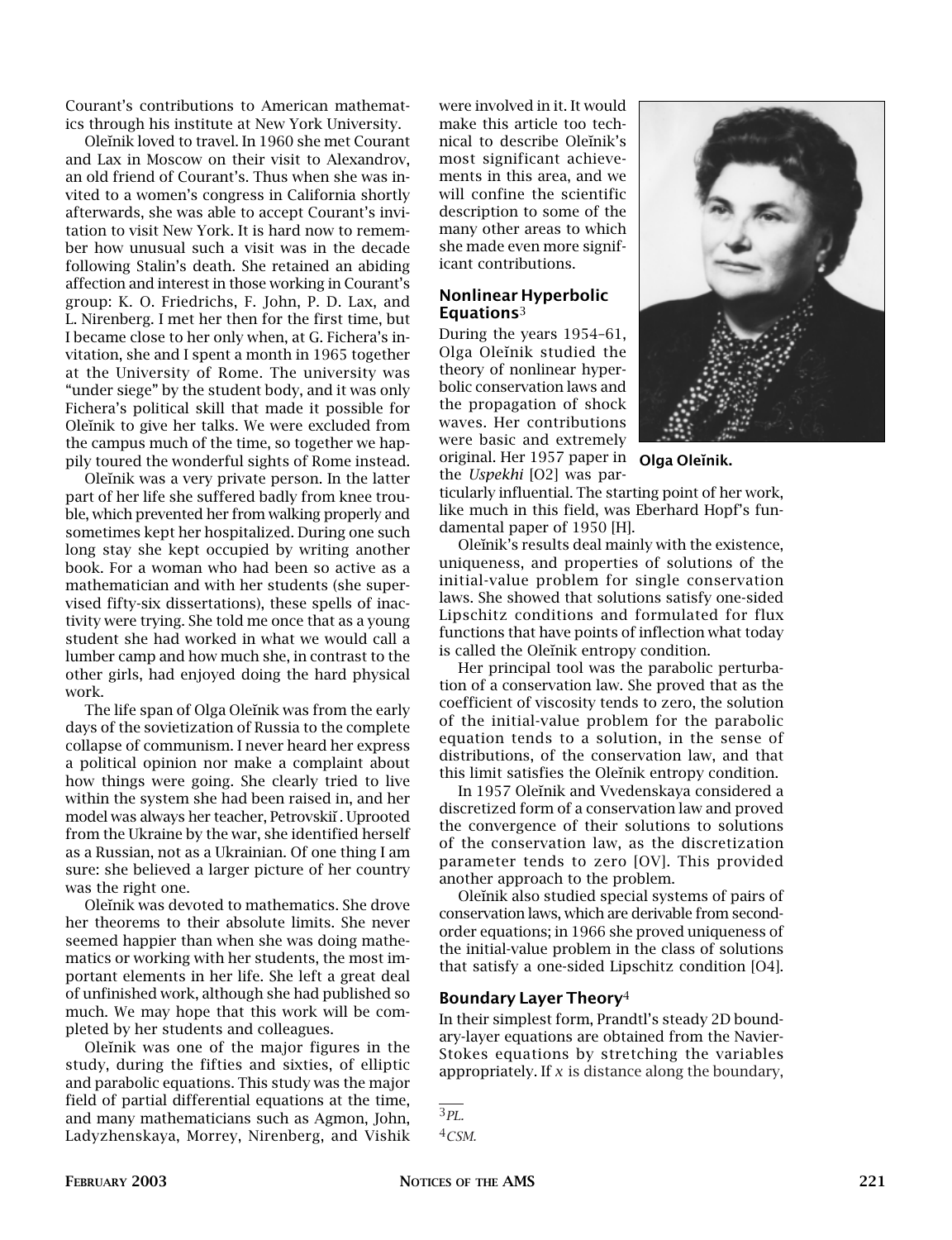Courant's contributions to American mathematics through his institute at New York University.

Oleinik loved to travel. In 1960 she met Courant and Lax in Moscow on their visit to Alexandrov, an old friend of Courant's. Thus when she was invited to a women's congress in California shortly afterwards, she was able to accept Courant's invitation to visit New York. It is hard now to remember how unusual such a visit was in the decade following Stalin's death. She retained an abiding affection and interest in those working in Courant's group: K. O. Friedrichs, F. John, P. D. Lax, and L. Nirenberg. I met her then for the first time, but I became close to her only when, at G. Fichera's invitation, she and I spent a month in 1965 together at the University of Rome. The university was "under siege" by the student body, and it was only Fichera's political skill that made it possible for Oleinik to give her talks. We were excluded from the campus much of the time, so together we happily toured the wonderful sights of Rome instead.

Oleinik was a very private person. In the latter part of her life she suffered badly from knee trouble, which prevented her from walking properly and sometimes kept her hospitalized. During one such long stay she kept occupied by writing another book. For a woman who had been so active as a mathematician and with her students (she supervised fifty-six dissertations), these spells of inactivity were trying. She told me once that as a young student she had worked in what we would call a lumber camp and how much she, in contrast to the other girls, had enjoyed doing the hard physical work.

The life span of Olga Oleinik was from the early days of the sovietization of Russia to the complete collapse of communism. I never heard her express a political opinion nor make a complaint about how things were going. She clearly tried to live within the system she had been raised in, and her model was always her teacher, Petrovskiı˘. Uprooted from the Ukraine by the war, she identified herself as a Russian, not as a Ukrainian. Of one thing I am sure: she believed a larger picture of her country was the right one.

Oleinik was devoted to mathematics. She drove her theorems to their absolute limits. She never seemed happier than when she was doing mathematics or working with her students, the most important elements in her life. She left a great deal of unfinished work, although she had published so much. We may hope that this work will be completed by her students and colleagues.

Oleinik was one of the major figures in the study, during the fifties and sixties, of elliptic and parabolic equations. This study was the major field of partial differential equations at the time, and many mathematicians such as Agmon, John, Ladyzhenskaya, Morrey, Nirenberg, and Vishik were involved in it. It would make this article too technical to describe Oleinik's most significant achievements in this area, and we will confine the scientific description to some of the many other areas to which she made even more significant contributions.

# **Nonlinear Hyperbolic Equations**3

During the years 1954–61, Olga Oleinik studied the theory of nonlinear hyperbolic conservation laws and the propagation of shock waves. Her contributions were basic and extremely original. Her 1957 paper in **Olga Oleĭnik.** the *Uspekhi* [O2] was par-



ticularly influential. The starting point of her work, like much in this field, was Eberhard Hopf's fundamental paper of 1950 [H].

Oleinik's results deal mainly with the existence, uniqueness, and properties of solutions of the initial-value problem for single conservation laws. She showed that solutions satisfy one-sided Lipschitz conditions and formulated for flux functions that have points of inflection what today is called the Oleinik entropy condition.

Her principal tool was the parabolic perturbation of a conservation law. She proved that as the coefficient of viscosity tends to zero, the solution of the initial-value problem for the parabolic equation tends to a solution, in the sense of distributions, of the conservation law, and that this limit satisfies the Oleinik entropy condition.

In 1957 Oleinik and Vvedenskaya considered a discretized form of a conservation law and proved the convergence of their solutions to solutions of the conservation law, as the discretization parameter tends to zero [OV]. This provided another approach to the problem.

Oleinik also studied special systems of pairs of conservation laws, which are derivable from secondorder equations; in 1966 she proved uniqueness of the initial-value problem in the class of solutions that satisfy a one-sided Lipschitz condition [O4].

## **Boundary Layer Theory**4

In their simplest form, Prandtl's steady 2D boundary-layer equations are obtained from the Navier-Stokes equations by stretching the variables appropriately. If *x* is distance along the boundary,

<sup>3</sup>*PL.*

<sup>4</sup>*CSM.*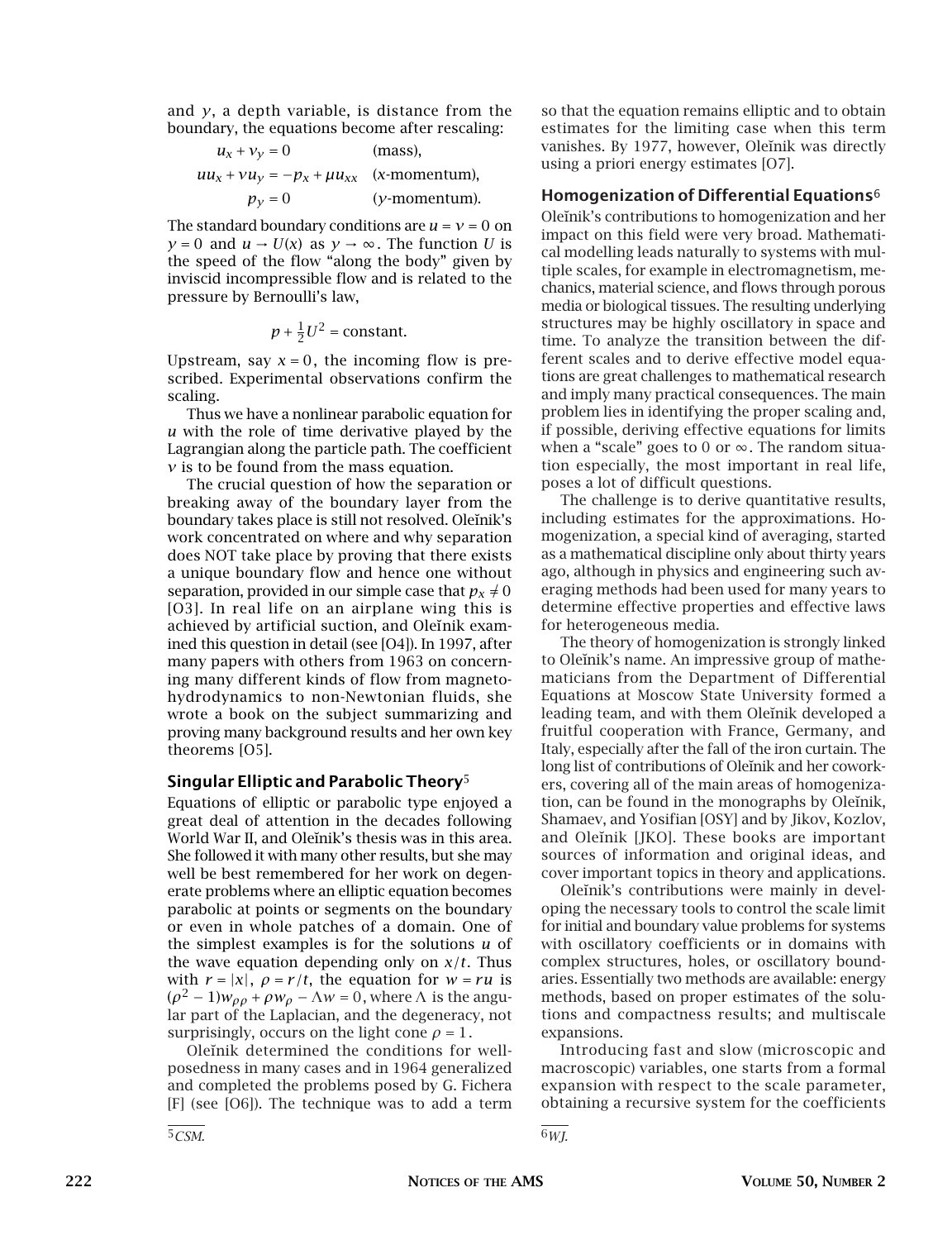and *y*, a depth variable, is distance from the boundary, the equations become after rescaling:

$$
u_x + v_y = 0
$$
 (mass),  
\n
$$
uu_x + vu_y = -p_x + \mu u_{xx}
$$
 (x-momentum),  
\n
$$
p_y = 0
$$
 (y-momentum).

The standard boundary conditions are  $u = v = 0$  on  $y = 0$  and  $u \rightarrow U(x)$  as  $y \rightarrow \infty$ . The function *U* is the speed of the flow "along the body" given by inviscid incompressible flow and is related to the pressure by Bernoulli's law,

$$
p + \frac{1}{2}U^2 = \text{constant}.
$$

Upstream, say  $x = 0$ , the incoming flow is prescribed. Experimental observations confirm the scaling.

Thus we have a nonlinear parabolic equation for *u* with the role of time derivative played by the Lagrangian along the particle path. The coefficient *v* is to be found from the mass equation.

The crucial question of how the separation or breaking away of the boundary layer from the boundary takes place is still not resolved. Oleinik's work concentrated on where and why separation does NOT take place by proving that there exists a unique boundary flow and hence one without separation, provided in our simple case that  $p_x \neq 0$ [O3]. In real life on an airplane wing this is achieved by artificial suction, and Oleinik examined this question in detail (see [O4]). In 1997, after many papers with others from 1963 on concerning many different kinds of flow from magnetohydrodynamics to non-Newtonian fluids, she wrote a book on the subject summarizing and proving many background results and her own key theorems [O5].

### **Singular Elliptic and Parabolic Theory**5

Equations of elliptic or parabolic type enjoyed a great deal of attention in the decades following World War II, and Oleinik's thesis was in this area. She followed it with many other results, but she may well be best remembered for her work on degenerate problems where an elliptic equation becomes parabolic at points or segments on the boundary or even in whole patches of a domain. One of the simplest examples is for the solutions *u* of the wave equation depending only on *x/t*. Thus with  $r = |x|$ ,  $\rho = r/t$ , the equation for  $w = ru$  is  $(\rho^2 - 1)w_{\rho\rho} + \rho w_{\rho} - \Lambda w = 0$ , where  $\Lambda$  is the angular part of the Laplacian, and the degeneracy, not surprisingly, occurs on the light cone  $\rho = 1$ .

Oleinik determined the conditions for wellposedness in many cases and in 1964 generalized and completed the problems posed by G. Fichera [F] (see [O6]). The technique was to add a term

so that the equation remains elliptic and to obtain estimates for the limiting case when this term vanishes. By 1977, however, Oleinik was directly using a priori energy estimates [O7].

### **Homogenization of Differential Equations**6

Oleinik's contributions to homogenization and her impact on this field were very broad. Mathematical modelling leads naturally to systems with multiple scales, for example in electromagnetism, mechanics, material science, and flows through porous media or biological tissues. The resulting underlying structures may be highly oscillatory in space and time. To analyze the transition between the different scales and to derive effective model equations are great challenges to mathematical research and imply many practical consequences. The main problem lies in identifying the proper scaling and, if possible, deriving effective equations for limits when a "scale" goes to 0 or  $\infty$ . The random situation especially, the most important in real life, poses a lot of difficult questions.

The challenge is to derive quantitative results, including estimates for the approximations. Homogenization, a special kind of averaging, started as a mathematical discipline only about thirty years ago, although in physics and engineering such averaging methods had been used for many years to determine effective properties and effective laws for heterogeneous media.

The theory of homogenization is strongly linked to Oleinik's name. An impressive group of mathematicians from the Department of Differential Equations at Moscow State University formed a leading team, and with them Oleinik developed a fruitful cooperation with France, Germany, and Italy, especially after the fall of the iron curtain. The long list of contributions of Oleïnik and her coworkers, covering all of the main areas of homogenization, can be found in the monographs by Oleinik, Shamaev, and Yosifian [OSY] and by Jikov, Kozlov, and Oleĭnik [JKO]. These books are important sources of information and original ideas, and cover important topics in theory and applications.

Oleinik's contributions were mainly in developing the necessary tools to control the scale limit for initial and boundary value problems for systems with oscillatory coefficients or in domains with complex structures, holes, or oscillatory boundaries. Essentially two methods are available: energy methods, based on proper estimates of the solutions and compactness results; and multiscale expansions.

Introducing fast and slow (microscopic and macroscopic) variables, one starts from a formal expansion with respect to the scale parameter, obtaining a recursive system for the coefficients